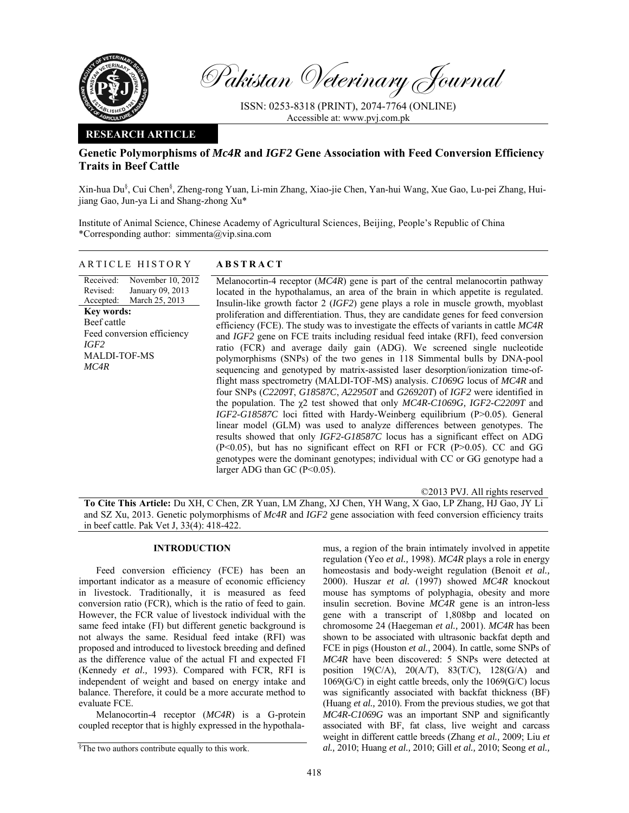

Pakistan Veterinary Journal

ISSN: 0253-8318 (PRINT), 2074-7764 (ONLINE) Accessible at: www.pvj.com.pk

### **RESEARCH ARTICLE**

# **Genetic Polymorphisms of** *Mc4R* **and** *IGF2* **Gene Association with Feed Conversion Efficiency Traits in Beef Cattle**

Xin-hua Du<sup>§</sup>, Cui Chen<sup>§</sup>, Zheng-rong Yuan, Li-min Zhang, Xiao-jie Chen, Yan-hui Wang, Xue Gao, Lu-pei Zhang, Huijiang Gao, Jun-ya Li and Shang-zhong Xu\*

Institute of Animal Science, Chinese Academy of Agricultural Sciences, Beijing, People's Republic of China \*Corresponding author: simmenta@vip.sina.com

## ARTICLE HISTORY **ABSTRACT**

Received: Revised: Accepted: November 10, 2012 January 09, 2013 March 25, 2013 **Key words:**  Beef cattle Feed conversion efficiency *IGF2*  MALDI-TOF-MS *MC4R*

 Melanocortin-4 receptor (*MC4R*) gene is part of the central melanocortin pathway located in the hypothalamus, an area of the brain in which appetite is regulated. Insulin-like growth factor 2 (*IGF2*) gene plays a role in muscle growth, myoblast proliferation and differentiation. Thus, they are candidate genes for feed conversion efficiency (FCE). The study was to investigate the effects of variants in cattle *MC4R* and *IGF2* gene on FCE traits including residual feed intake (RFI), feed conversion ratio (FCR) and average daily gain (ADG). We screened single nucleotide polymorphisms (SNPs) of the two genes in 118 Simmental bulls by DNA-pool sequencing and genotyped by matrix-assisted laser desorption/ionization time-offlight mass spectrometry (MALDI-TOF-MS) analysis. *C1069G* locus of *MC4R* and four SNPs (*C2209T*, *G18587C*, *A22950T* and *G26920T*) of *IGF2* were identified in the population. The χ2 test showed that only *MC4R-C1069G, IGF2-C2209T* and *IGF2-G18587C* loci fitted with Hardy-Weinberg equilibrium (P>0.05). General linear model (GLM) was used to analyze differences between genotypes. The results showed that only *IGF2-G18587C* locus has a significant effect on ADG (P<0.05), but has no significant effect on RFI or FCR (P>0.05). CC and GG genotypes were the dominant genotypes; individual with CC or GG genotype had a larger ADG than GC (P<0.05).

©2013 PVJ. All rights reserved

**To Cite This Article:** Du XH, C Chen, ZR Yuan, LM Zhang, XJ Chen, YH Wang, X Gao, LP Zhang, HJ Gao, JY Li and SZ Xu, 2013. Genetic polymorphisms of *Mc4R* and *IGF2* gene association with feed conversion efficiency traits in beef cattle. Pak Vet J, 33(4): 418-422.

### **INTRODUCTION**

Feed conversion efficiency (FCE) has been an important indicator as a measure of economic efficiency in livestock. Traditionally, it is measured as feed conversion ratio (FCR), which is the ratio of feed to gain. However, the FCR value of livestock individual with the same feed intake (FI) but different genetic background is not always the same. Residual feed intake (RFI) was proposed and introduced to livestock breeding and defined as the difference value of the actual FI and expected FI (Kennedy *et al.,* 1993). Compared with FCR, RFI is independent of weight and based on energy intake and balance. Therefore, it could be a more accurate method to evaluate FCE.

Melanocortin-4 receptor (*MC4R*) is a G-protein coupled receptor that is highly expressed in the hypothalamus, a region of the brain intimately involved in appetite regulation (Yeo *et al.,* 1998). *MC4R* plays a role in energy homeostasis and body-weight regulation (Benoit *et al.,*  2000). Huszar *et al.* (1997) showed *MC4R* knockout mouse has symptoms of polyphagia, obesity and more insulin secretion. Bovine *MC4R* gene is an intron-less gene with a transcript of 1,808bp and located on chromosome 24 (Haegeman *et al.,* 2001). *MC4R* has been shown to be associated with ultrasonic backfat depth and FCE in pigs (Houston *et al.,* 2004). In cattle, some SNPs of *MC4R* have been discovered: 5 SNPs were detected at position 19(C/A), 20(A/T), 83(T/C), 128(G/A) and 1069(G/C) in eight cattle breeds, only the 1069(G/C) locus was significantly associated with backfat thickness (BF) (Huang *et al.,* 2010). From the previous studies, we got that *MC4R*-*C1069G* was an important SNP and significantly associated with BF, fat class, live weight and carcass weight in different cattle breeds (Zhang *et al.,* 2009; Liu *et al.,* 2010; Huang *et al.,* 2010; Gill *et al.,* 2010; Seong *et al.,* 

<sup>§</sup> The two authors contribute equally to this work.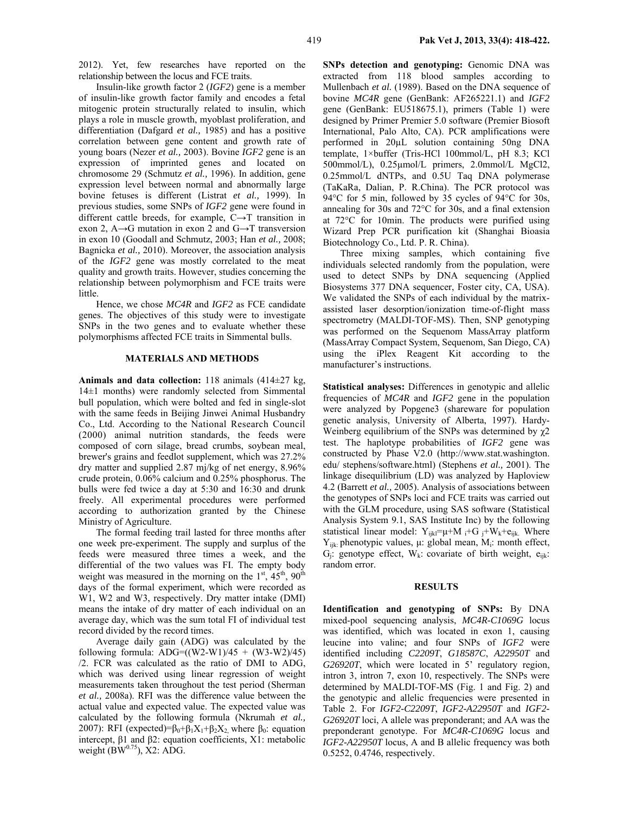2012). Yet, few researches have reported on the relationship between the locus and FCE traits.

Insulin-like growth factor 2 (*IGF2*) gene is a member of insulin-like growth factor family and encodes a fetal mitogenic protein structurally related to insulin, which plays a role in muscle growth, myoblast proliferation, and differentiation (Dafgard *et al.,* 1985) and has a positive correlation between gene content and growth rate of young boars (Nezer *et al.,* 2003). Bovine *IGF2* gene is an expression of imprinted genes and located on chromosome 29 (Schmutz *et al.,* 1996). In addition, gene expression level between normal and abnormally large bovine fetuses is different (Listrat *et al.,* 1999). In previous studies, some SNPs of *IGF2* gene were found in different cattle breeds, for example, C→T transition in exon 2, A→G mutation in exon 2 and G→T transversion in exon 10 (Goodall and Schmutz, 2003; Han *et al.,* 2008; Bagnicka *et al.,* 2010). Moreover, the association analysis of the *IGF2* gene was mostly correlated to the meat quality and growth traits. However, studies concerning the relationship between polymorphism and FCE traits were little.

Hence, we chose *MC4R* and *IGF2* as FCE candidate genes. The objectives of this study were to investigate SNPs in the two genes and to evaluate whether these polymorphisms affected FCE traits in Simmental bulls.

### **MATERIALS AND METHODS**

**Animals and data collection:** 118 animals (414±27 kg, 14±1 months) were randomly selected from Simmental bull population, which were bolted and fed in single-slot with the same feeds in Beijing Jinwei Animal Husbandry Co., Ltd. According to the National Research Council (2000) animal nutrition standards, the feeds were composed of corn silage, bread crumbs, soybean meal, brewer's grains and feedlot supplement, which was 27.2% dry matter and supplied 2.87 mj/kg of net energy, 8.96% crude protein, 0.06% calcium and 0.25% phosphorus. The bulls were fed twice a day at 5:30 and 16:30 and drunk freely. All experimental procedures were performed according to authorization granted by the Chinese Ministry of Agriculture.

The formal feeding trail lasted for three months after one week pre-experiment. The supply and surplus of the feeds were measured three times a week, and the differential of the two values was FI. The empty body weight was measured in the morning on the  $1<sup>st</sup>$ ,  $45<sup>th</sup>$ ,  $90<sup>th</sup>$ days of the formal experiment, which were recorded as W1, W2 and W3, respectively. Dry matter intake (DMI) means the intake of dry matter of each individual on an average day, which was the sum total FI of individual test record divided by the record times.

Average daily gain (ADG) was calculated by the following formula:  $\text{ADG} = ((W2-W1)/45 + (W3-W2)/45)$ /2. FCR was calculated as the ratio of DMI to ADG, which was derived using linear regression of weight measurements taken throughout the test period (Sherman *et al.,* 2008a). RFI was the difference value between the actual value and expected value. The expected value was calculated by the following formula (Nkrumah *et al.,*  2007): RFI (expected)= $β_0 + β_1X_1 + β_2X_2$  where  $β_0$ : equation intercept, β1 and β2: equation coefficients, X1: metabolic weight  $(BW<sup>0.75</sup>)$ , X2: ADG.

**SNPs detection and genotyping:** Genomic DNA was extracted from 118 blood samples according to Mullenbach *et al.* (1989). Based on the DNA sequence of bovine *MC4R* gene (GenBank: AF265221.1) and *IGF2* gene (GenBank: EU518675.1), primers (Table 1) were designed by Primer Premier 5.0 software (Premier Biosoft International, Palo Alto, CA). PCR amplifications were performed in 20µL solution containing 50ng DNA template, 1×buffer (Tris-HCl 100mmol/L, pH 8.3; KCl 500mmol/L), 0.25µmol/L primers, 2.0mmol/L MgCl2, 0.25mmol/L dNTPs, and 0.5U Taq DNA polymerase (TaKaRa, Dalian, P. R.China). The PCR protocol was 94°C for 5 min, followed by 35 cycles of 94°C for 30s, annealing for 30s and 72°C for 30s, and a final extension at 72°C for 10min. The products were purified using Wizard Prep PCR purification kit (Shanghai Bioasia Biotechnology Co., Ltd. P. R. China).

Three mixing samples, which containing five individuals selected randomly from the population, were used to detect SNPs by DNA sequencing (Applied Biosystems 377 DNA sequencer, Foster city, CA, USA). We validated the SNPs of each individual by the matrixassisted laser desorption/ionization time-of-flight mass spectrometry (MALDI-TOF-MS). Then, SNP genotyping was performed on the Sequenom MassArray platform (MassArray Compact System, Sequenom, San Diego, CA) using the iPlex Reagent Kit according to the manufacturer's instructions.

**Statistical analyses:** Differences in genotypic and allelic frequencies of *MC4R* and *IGF2* gene in the population were analyzed by Popgene3 (shareware for population genetic analysis, University of Alberta, 1997). Hardy-Weinberg equilibrium of the SNPs was determined by χ2 test. The haplotype probabilities of *IGF2* gene was constructed by Phase V2.0 (http://www.stat.washington. edu/ stephens/software.html) (Stephens *et al.,* 2001). The linkage disequilibrium (LD) was analyzed by Haploview 4.2 (Barrett *et al.,* 2005). Analysis of associations between the genotypes of SNPs loci and FCE traits was carried out with the GLM procedure, using SAS software (Statistical Analysis System 9.1, SAS Institute Inc) by the following statistical linear model:  $Y_{ijkl} = \mu + M_i + G_i + W_k + e_{ijk}$ . Where  $Y_{iik}$ : phenotypic values,  $\mu$ : global mean,  $M_i$ : month effect,  $G_i$ : genotype effect,  $W_k$ : covariate of birth weight,  $e_{ijk}$ : random error.

#### **RESULTS**

**Identification and genotyping of SNPs:** By DNA mixed-pool sequencing analysis, *MC4R-C1069G* locus was identified, which was located in exon 1, causing leucine into valine; and four SNPs of *IGF2* were identified including *C2209T*, *G18587C*, *A22950T* and *G26920T*, which were located in 5' regulatory region, intron 3, intron 7, exon 10, respectively. The SNPs were determined by MALDI-TOF-MS (Fig. 1 and Fig. 2) and the genotypic and allelic frequencies were presented in Table 2. For *IGF2-C2209T*, *IGF2-A22950T* and *IGF2- G26920T* loci, A allele was preponderant; and AA was the preponderant genotype. For *MC4R-C1069G* locus and *IGF2-A22950T* locus, A and B allelic frequency was both 0.5252, 0.4746, respectively.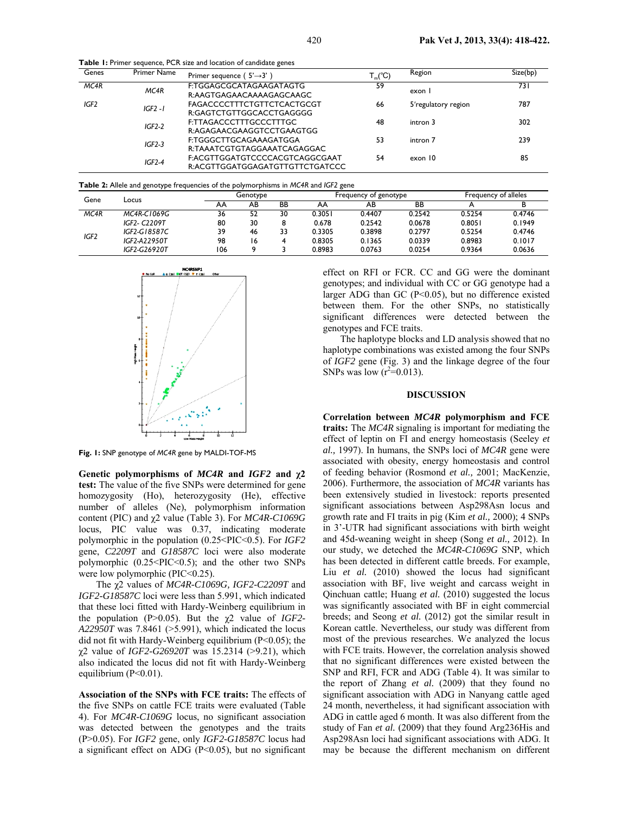**Table 1:** Primer sequence, PCR size and location of candidate genes

| Genes            | <b>Primer Name</b> | Primer sequence ( $5' \rightarrow 3'$ )                           | $T_m$ <sup>°</sup> C) | Region              | Size(bp) |
|------------------|--------------------|-------------------------------------------------------------------|-----------------------|---------------------|----------|
| MC4R             | MC4R               | F:TGGAGCGCATAGAAGATAGTG<br>R:AAGTGAGAACAAAAGAGCAAGC               | 59                    | exon                | 73 I     |
| IGF <sub>2</sub> | $IGF2 - I$         | FAGACCCCTTTCTGTTCTCACTGCGT<br>R:GAGTCTGTTGGCACCTGAGGGG            | 66                    | 5'regulatory region | 787      |
|                  | $IGF2-2$           | F:TTAGACCCTTTGCCCTTTGC<br>R:AGAGAACGAAGGTCCTGAAGTGG               | 48                    | intron 3            | 302      |
|                  | $IGF2-3$           | F:TGGGCTTGCAGAAAGATGGA<br>R:TAAATCGTGTAGGAAATCAGAGGAC             | 53                    | intron 7            | 239      |
|                  | $IGF2-4$           | F:ACGTTGGATGTCCCCACGTCAGGCGAAT<br>R:ACGTTGGATGGAGATGTTGTTCTGATCCC | 54                    | exon 10             | 85       |

**Table 2:** Allele and genotype frequencies of the polymorphisms in *MC4R* and *IGF2* gene

| Gene              | Locus               | Genotype |    | Frequency of genotype |        |        | Frequency of alleles |        |        |
|-------------------|---------------------|----------|----|-----------------------|--------|--------|----------------------|--------|--------|
|                   |                     | AA       | AB | BB                    | АΑ     | AB     | ВB                   |        |        |
| MC <sub>4</sub> R | MC4R-C1069G         | 36       | 52 | 30                    | 0.3051 | 0.4407 | 0.2542               | 0.5254 | 0.4746 |
| IGF2              | <b>IGF2- C2209T</b> | 80       | 30 | 8                     | 0.678  | 0.2542 | 0.0678               | 0.8051 | 0.1949 |
|                   | IGF2-G18587C        | 39       | 46 | 33                    | 0.3305 | 0.3898 | 0.2797               | 0.5254 | 0.4746 |
|                   | IGF2-A22950T        | 98       | 16 |                       | 0.8305 | 0.1365 | 0.0339               | 0.8983 | 0.1017 |
|                   | IGF2-G26920T        | 106      |    |                       | 0.8983 | 0.0763 | 0.0254               | 0.9364 | 0.0636 |



**Fig. 1:** SNP genotype of *MC4R* gene by MALDI-TOF-MS

**Genetic polymorphisms of** *MC4R* **and** *IGF2* **and χ2 test:** The value of the five SNPs were determined for gene homozygosity (Ho), heterozygosity (He), effective number of alleles (Ne), polymorphism information content (PIC) and χ2 value (Table 3). For *MC4R-C1069G* locus, PIC value was 0.37, indicating moderate polymorphic in the population (0.25<PIC<0.5). For *IGF2*  gene, *C2209T* and *G18587C* loci were also moderate polymorphic  $(0.25 \leq PIC \leq 0.5)$ ; and the other two SNPs were low polymorphic (PIC<0.25).

The χ2 values of *MC4R-C1069G, IGF2-C2209T* and *IGF2-G18587C* loci were less than 5.991, which indicated that these loci fitted with Hardy-Weinberg equilibrium in the population (P>0.05). But the χ2 value of *IGF2- A22950T* was 7.8461 (>5.991), which indicated the locus did not fit with Hardy-Weinberg equilibrium  $(P<0.05)$ ; the χ2 value of *IGF2-G26920T* was 15.2314 (>9.21), which also indicated the locus did not fit with Hardy-Weinberg equilibrium  $(P<0.01)$ .

**Association of the SNPs with FCE traits:** The effects of the five SNPs on cattle FCE traits were evaluated (Table 4). For *MC4R-C1069G* locus, no significant association was detected between the genotypes and the traits (P>0.05). For *IGF2* gene, only *IGF2-G18587C* locus had a significant effect on ADG  $(P<0.05)$ , but no significant

effect on RFI or FCR. CC and GG were the dominant genotypes; and individual with CC or GG genotype had a larger ADG than GC ( $P<0.05$ ), but no difference existed between them. For the other SNPs, no statistically significant differences were detected between the genotypes and FCE traits.

The haplotype blocks and LD analysis showed that no haplotype combinations was existed among the four SNPs of *IGF2* gene (Fig. 3) and the linkage degree of the four SNPs was low  $(r^2=0.013)$ .

#### **DISCUSSION**

**Correlation between** *MC4R* **polymorphism and FCE traits:** The *MC4R* signaling is important for mediating the effect of leptin on FI and energy homeostasis (Seeley *et al.,* 1997). In humans, the SNPs loci of *MC4R* gene were associated with obesity, energy homeostasis and control of feeding behavior (Rosmond *et al.,* 2001; MacKenzie, 2006). Furthermore, the association of *MC4R* variants has been extensively studied in livestock: reports presented significant associations between Asp298Asn locus and growth rate and FI traits in pig (Kim *et al.,* 2000); 4 SNPs in 3'-UTR had significant associations with birth weight and 45d-weaning weight in sheep (Song *et al.,* 2012). In our study, we deteched the *MC4R-C1069G* SNP, which has been detected in different cattle breeds. For example, Liu *et al.* (2010) showed the locus had significant association with BF, live weight and carcass weight in Qinchuan cattle; Huang *et al.* (2010) suggested the locus was significantly associated with BF in eight commercial breeds; and Seong *et al.* (2012) got the similar result in Korean cattle. Nevertheless, our study was different from most of the previous researches. We analyzed the locus with FCE traits. However, the correlation analysis showed that no significant differences were existed between the SNP and RFI, FCR and ADG (Table 4). It was similar to the report of Zhang *et al.* (2009) that they found no significant association with ADG in Nanyang cattle aged 24 month, nevertheless, it had significant association with ADG in cattle aged 6 month. It was also different from the study of Fan *et al.* (2009) that they found Arg236His and Asp298Asn loci had significant associations with ADG. It may be because the different mechanism on different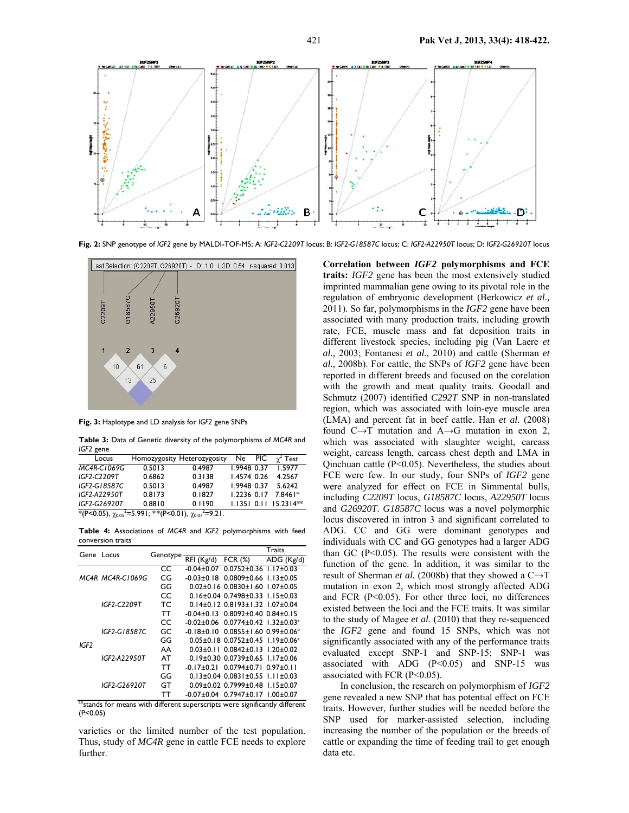

**Fig. 2:** SNP genotype of *IGF2* gene by MALDI-TOF-MS; A: *IGF2-C2209T* locus; B: *IGF2-G18587C* locus; C: *IGF2-A22950T* locus; D: *IGF2-G26920T* locus



**Fig. 3:** Haplotype and LD analysis for *IGF2* gene SNPs

**Table 3:** Data of Genetic diversity of the polymorphisms of *MC4R* and *IGF2* gene

| Locus                                                                                                        |        | Homozygosity Heterozygosity | Ne.         | PIC | $\gamma^2$ Test           |
|--------------------------------------------------------------------------------------------------------------|--------|-----------------------------|-------------|-----|---------------------------|
| MC4R-C1069G                                                                                                  | 0.5013 | 0.4987                      | 1.9948 0.37 |     | 1.5977                    |
| IGF2-C2209T                                                                                                  | 0.6862 | 0.3138                      | 1.4574 0.26 |     | 4.2567                    |
| IGF2-G18587C                                                                                                 | 0.5013 | 0.4987                      | 1.9948 0.37 |     | 5.6242                    |
| IGF2-A22950T                                                                                                 | 0.8173 | 0.1827                      | 1.2236 0.17 |     | 7.8461*                   |
| IGF2-G26920T                                                                                                 | 0.8810 | 0.1190                      |             |     | $1.1351$ 0.11 $15.2314**$ |
| $\frac{1}{2}$ (P<0.05), $\gamma_{0.05}$ <sup>2</sup> =5.991; **(P<0.01), $\gamma_{0.01}$ <sup>2</sup> =9.21. |        |                             |             |     |                           |

**Table 4:** Associations of *MC4R* and *IGF2* polymorphisms with feed conversion traits

|      | Gene Locus       |          |                |                                                                 | Traits          |  |
|------|------------------|----------|----------------|-----------------------------------------------------------------|-----------------|--|
|      |                  | Genotype | RFI (Kg/d)     | FCR $(%)$                                                       | ADG (Kg/d)      |  |
|      |                  | CC       | $-0.04 + 0.07$ | $0.0752 \pm 0.36$ $1.17 \pm 0.03$                               |                 |  |
|      | MC4R MC4R-C1069G | CG       | -0.03±0.18     | $0.0809 \pm 0.66$ 1.13 $\pm 0.05$                               |                 |  |
|      |                  | GG       |                | $0.02\pm0.16$ $0.0830\pm1.60$ $1.07\pm0.05$                     |                 |  |
|      |                  | CC       |                | $0.16\pm0.04$ $0.7498\pm0.33$ $1.15\pm0.03$                     |                 |  |
|      | IGF2-C2209T      | ТC       |                | $0.14\pm0.12$ $0.8193\pm1.32$ $1.07\pm0.04$                     |                 |  |
| IGF2 |                  | тт       |                | $-0.04\pm0.13$ 0.8092 $\pm$ 0.40 0.84 $\pm$ 0.15                |                 |  |
|      | IGF2-G18587C     | CC       |                | $-0.02 \pm 0.06$ 0.0774 $\pm$ 0.42 1.32 $\pm$ 0.03 <sup>a</sup> |                 |  |
|      |                  | GC       |                | $-0.18\pm0.10$ $0.0855\pm1.60$ $0.99\pm0.06^{\circ}$            |                 |  |
|      |                  | GG       |                | $0.05 \pm 0.18$ $0.0752 \pm 0.45$ $1.19 \pm 0.06$ <sup>a</sup>  |                 |  |
|      |                  | AA       |                | $0.03 \pm 0.1$   $0.0842 \pm 0.13$   .20 $\pm 0.02$             |                 |  |
|      | IGF2-A22950T     | AT       |                | $0.19\pm0.30$ $0.0739\pm0.65$ $1.17\pm0.06$                     |                 |  |
|      |                  | тт       |                | $-0.17\pm0.21$ 0.0794 $\pm$ 0.71 0.97 $\pm$ 0.11                |                 |  |
|      |                  | GG       |                | $0.13\pm0.04$ $0.0831\pm0.55$ $1.11\pm0.03$                     |                 |  |
|      | IGF2-G26920T     | GТ       |                | $0.09\pm0.02$ 0.7999 $\pm0.48$                                  | $1.15 \pm 0.07$ |  |
|      |                  | тт       | $-0.07 + 0.04$ | $0.7947 \pm 0.17$ $1.00 \pm 0.07$                               |                 |  |
| -sh  | $\sim$<br>. .    | 1.00     |                | $\sim$                                                          |                 |  |

<sup>o</sup>stands for means with different superscripts were significantly different (P<0.05)

varieties or the limited number of the test population. Thus, study of *MC4R* gene in cattle FCE needs to explore further.

**Correlation between** *IGF2* **polymorphisms and FCE traits:** *IGF2* gene has been the most extensively studied imprinted mammalian gene owing to its pivotal role in the regulation of embryonic development (Berkowicz *et al.,*  2011). So far, polymorphisms in the *IGF2* gene have been associated with many production traits, including growth rate, FCE, muscle mass and fat deposition traits in different livestock species, including pig (Van Laere *et al.,* 2003; Fontanesi *et al.,* 2010) and cattle (Sherman *et al.,* 2008b). For cattle, the SNPs of *IGF2* gene have been reported in different breeds and focused on the corelation with the growth and meat quality traits. Goodall and Schmutz (2007) identified *C292T* SNP in non-translated region, which was associated with loin-eye muscle area (LMA) and percent fat in beef cattle. Han *et al.* (2008) found  $C \rightarrow T$  mutation and  $A \rightarrow G$  mutation in exon 2, which was associated with slaughter weight, carcass weight, carcass length, carcass chest depth and LMA in Qinchuan cattle (P<0.05). Nevertheless, the studies about FCE were few. In our study, four SNPs of *IGF2* gene were analyzed for effect on FCE in Simmental bulls, including *C2209T* locus, *G18587C* locus, *A22950T* locus and *G26920T*. *G18587C* locus was a novel polymorphic locus discovered in intron 3 and significant correlated to ADG. CC and GG were dominant genotypes and individuals with CC and GG genotypes had a larger ADG than GC (P<0.05). The results were consistent with the function of the gene. In addition, it was similar to the result of Sherman *et al.* (2008b) that they showed a C→T mutation in exon 2, which most strongly affected ADG and FCR (P<0.05). For other three loci, no differences existed between the loci and the FCE traits. It was similar to the study of Magee *et al.* (2010) that they re-sequenced the *IGF2* gene and found 15 SNPs, which was not significantly associated with any of the performance traits evaluated except SNP-1 and SNP-15; SNP-1 was associated with ADG (P<0.05) and SNP-15 was associated with FCR (P<0.05).

In conclusion, the research on polymorphism of *IGF2*  gene revealed a new SNP that has potential effect on FCE traits. However, further studies will be needed before the SNP used for marker-assisted selection, including increasing the number of the population or the breeds of cattle or expanding the time of feeding trail to get enough data etc.